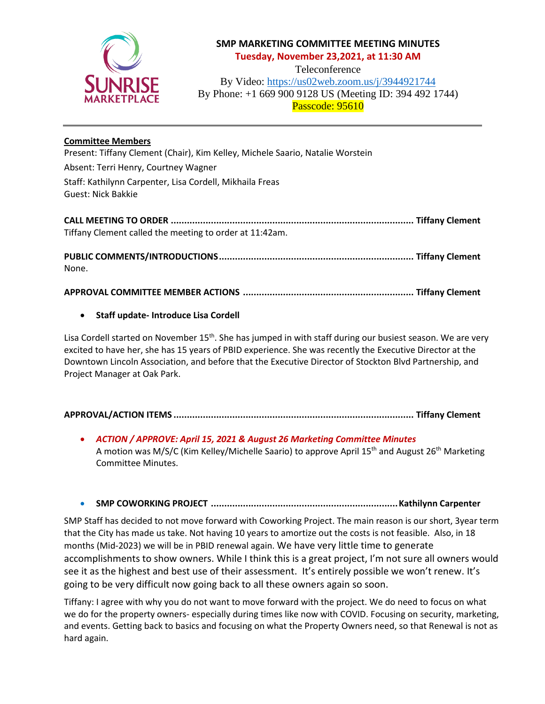

# **SMP MARKETING COMMITTEE MEETING MINUTES Tuesday, November 23,2021, at 11:30 AM**

Teleconference

By Video: <https://us02web.zoom.us/j/3944921744> By Phone: +1 669 900 9128 US (Meeting ID: 394 492 1744) Passcode: 95610

## **Committee Members**

None.

Present: Tiffany Clement (Chair), Kim Kelley, Michele Saario, Natalie Worstein Absent: Terri Henry, Courtney Wagner Staff: Kathilynn Carpenter, Lisa Cordell, Mikhaila Freas Guest: Nick Bakkie

| Tiffany Clement called the meeting to order at 11:42am. |  |
|---------------------------------------------------------|--|
|                                                         |  |

**APPROVAL COMMITTEE MEMBER ACTIONS ................................................................ Tiffany Clement**

## • **Staff update- Introduce Lisa Cordell**

Lisa Cordell started on November 15<sup>th</sup>. She has jumped in with staff during our busiest season. We are very excited to have her, she has 15 years of PBID experience. She was recently the Executive Director at the Downtown Lincoln Association, and before that the Executive Director of Stockton Blvd Partnership, and Project Manager at Oak Park.

|--|--|

• *ACTION / APPROVE: April 15, 2021 & August 26 Marketing Committee Minutes* A motion was M/S/C (Kim Kelley/Michelle Saario) to approve April 15<sup>th</sup> and August 26<sup>th</sup> Marketing Committee Minutes.

### • **SMP COWORKING PROJECT ......................................................................Kathilynn Carpenter**

SMP Staff has decided to not move forward with Coworking Project. The main reason is our short, 3year term that the City has made us take. Not having 10 years to amortize out the costs is not feasible. Also, in 18 months (Mid-2023) we will be in PBID renewal again. We have very little time to generate accomplishments to show owners. While I think this is a great project, I'm not sure all owners would see it as the highest and best use of their assessment. It's entirely possible we won't renew. It's going to be very difficult now going back to all these owners again so soon.

Tiffany: I agree with why you do not want to move forward with the project. We do need to focus on what we do for the property owners- especially during times like now with COVID. Focusing on security, marketing, and events. Getting back to basics and focusing on what the Property Owners need, so that Renewal is not as hard again.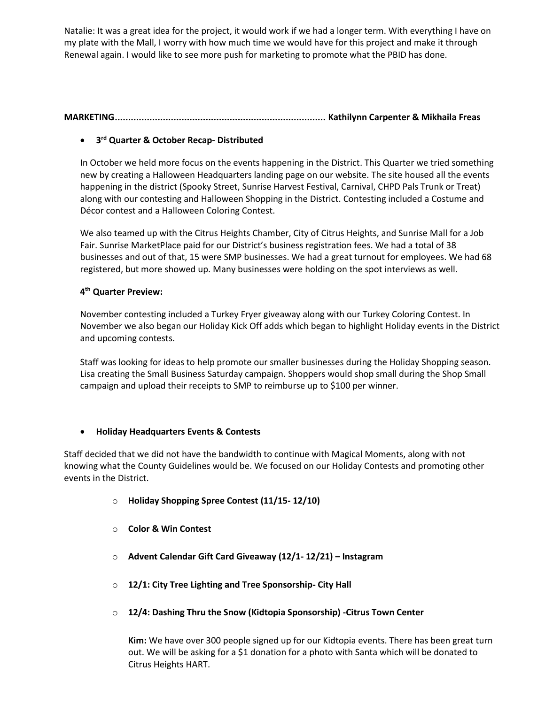Natalie: It was a great idea for the project, it would work if we had a longer term. With everything I have on my plate with the Mall, I worry with how much time we would have for this project and make it through Renewal again. I would like to see more push for marketing to promote what the PBID has done.

## **MARKETING............................................................................... Kathilynn Carpenter & Mikhaila Freas**

# • **3 rd Quarter & October Recap- Distributed**

In October we held more focus on the events happening in the District. This Quarter we tried something new by creating a Halloween Headquarters landing page on our website. The site housed all the events happening in the district (Spooky Street, Sunrise Harvest Festival, Carnival, CHPD Pals Trunk or Treat) along with our contesting and Halloween Shopping in the District. Contesting included a Costume and Décor contest and a Halloween Coloring Contest.

We also teamed up with the Citrus Heights Chamber, City of Citrus Heights, and Sunrise Mall for a Job Fair. Sunrise MarketPlace paid for our District's business registration fees. We had a total of 38 businesses and out of that, 15 were SMP businesses. We had a great turnout for employees. We had 68 registered, but more showed up. Many businesses were holding on the spot interviews as well.

## **4 th Quarter Preview:**

November contesting included a Turkey Fryer giveaway along with our Turkey Coloring Contest. In November we also began our Holiday Kick Off adds which began to highlight Holiday events in the District and upcoming contests.

Staff was looking for ideas to help promote our smaller businesses during the Holiday Shopping season. Lisa creating the Small Business Saturday campaign. Shoppers would shop small during the Shop Small campaign and upload their receipts to SMP to reimburse up to \$100 per winner.

### • **Holiday Headquarters Events & Contests**

Staff decided that we did not have the bandwidth to continue with Magical Moments, along with not knowing what the County Guidelines would be. We focused on our Holiday Contests and promoting other events in the District.

- o **Holiday Shopping Spree Contest (11/15- 12/10)**
- o **Color & Win Contest**
- o **Advent Calendar Gift Card Giveaway (12/1- 12/21) – Instagram**
- o **12/1: City Tree Lighting and Tree Sponsorship- City Hall**
- o **12/4: Dashing Thru the Snow (Kidtopia Sponsorship) -Citrus Town Center**

**Kim:** We have over 300 people signed up for our Kidtopia events. There has been great turn out. We will be asking for a \$1 donation for a photo with Santa which will be donated to Citrus Heights HART.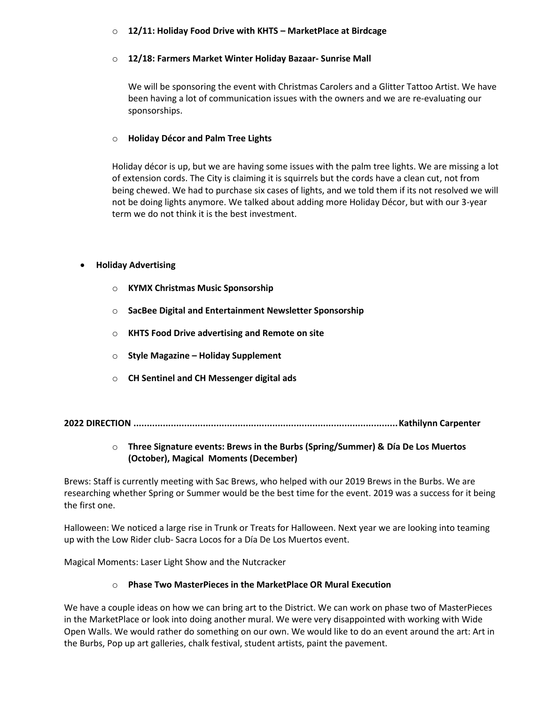### o **12/11: Holiday Food Drive with KHTS – MarketPlace at Birdcage**

#### o **12/18: Farmers Market Winter Holiday Bazaar- Sunrise Mall**

We will be sponsoring the event with Christmas Carolers and a Glitter Tattoo Artist. We have been having a lot of communication issues with the owners and we are re-evaluating our sponsorships.

#### o **Holiday Décor and Palm Tree Lights**

Holiday décor is up, but we are having some issues with the palm tree lights. We are missing a lot of extension cords. The City is claiming it is squirrels but the cords have a clean cut, not from being chewed. We had to purchase six cases of lights, and we told them if its not resolved we will not be doing lights anymore. We talked about adding more Holiday Décor, but with our 3-year term we do not think it is the best investment.

### • **Holiday Advertising**

- o **KYMX Christmas Music Sponsorship**
- o **SacBee Digital and Entertainment Newsletter Sponsorship**
- o **KHTS Food Drive advertising and Remote on site**
- o **Style Magazine – Holiday Supplement**
- o **CH Sentinel and CH Messenger digital ads**

**2022 DIRECTION ...................................................................................................Kathilynn Carpenter** 

## o **Three Signature events: Brews in the Burbs (Spring/Summer) & Día De Los Muertos (October), Magical Moments (December)**

Brews: Staff is currently meeting with Sac Brews, who helped with our 2019 Brews in the Burbs. We are researching whether Spring or Summer would be the best time for the event. 2019 was a success for it being the first one.

Halloween: We noticed a large rise in Trunk or Treats for Halloween. Next year we are looking into teaming up with the Low Rider club- Sacra Locos for a Día De Los Muertos event.

Magical Moments: Laser Light Show and the Nutcracker

### o **Phase Two MasterPieces in the MarketPlace OR Mural Execution**

We have a couple ideas on how we can bring art to the District. We can work on phase two of MasterPieces in the MarketPlace or look into doing another mural. We were very disappointed with working with Wide Open Walls. We would rather do something on our own. We would like to do an event around the art: Art in the Burbs, Pop up art galleries, chalk festival, student artists, paint the pavement.